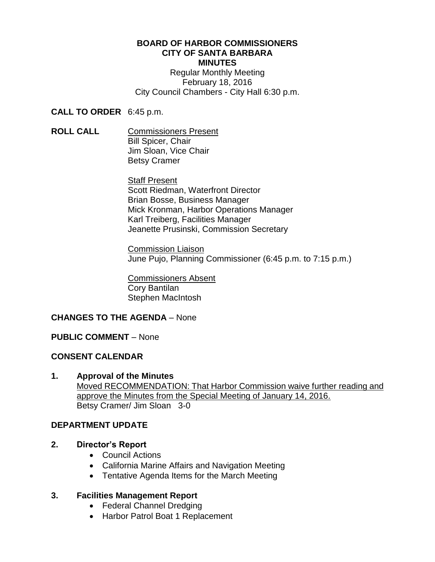#### **BOARD OF HARBOR COMMISSIONERS CITY OF SANTA BARBARA MINUTES**

Regular Monthly Meeting February 18, 2016 City Council Chambers - City Hall 6:30 p.m.

**CALL TO ORDER** 6:45 p.m.

**ROLL CALL** Commissioners Present Bill Spicer, Chair Jim Sloan, Vice Chair Betsy Cramer

> Staff Present Scott Riedman, Waterfront Director Brian Bosse, Business Manager Mick Kronman, Harbor Operations Manager Karl Treiberg, Facilities Manager Jeanette Prusinski, Commission Secretary

Commission Liaison June Pujo, Planning Commissioner (6:45 p.m. to 7:15 p.m.)

Commissioners Absent Cory Bantilan Stephen MacIntosh

# **CHANGES TO THE AGENDA** – None

# **PUBLIC COMMENT** – None

# **CONSENT CALENDAR**

**1. Approval of the Minutes** Moved RECOMMENDATION: That Harbor Commission waive further reading and approve the Minutes from the Special Meeting of January 14, 2016. Betsy Cramer/ Jim Sloan 3-0

# **DEPARTMENT UPDATE**

- **2. Director's Report**
	- Council Actions
	- California Marine Affairs and Navigation Meeting
	- Tentative Agenda Items for the March Meeting

# **3. Facilities Management Report**

- Federal Channel Dredging
- Harbor Patrol Boat 1 Replacement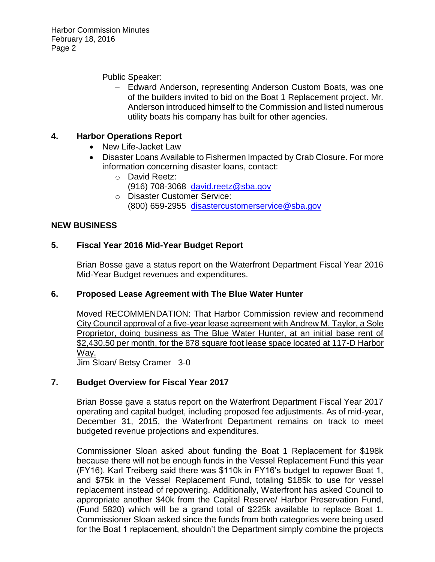Harbor Commission Minutes February 18, 2016 Page 2

Public Speaker:

 Edward Anderson, representing Anderson Custom Boats, was one of the builders invited to bid on the Boat 1 Replacement project. Mr. Anderson introduced himself to the Commission and listed numerous utility boats his company has built for other agencies.

# **4. Harbor Operations Report**

- New Life-Jacket Law
- Disaster Loans Available to Fishermen Impacted by Crab Closure. For more information concerning disaster loans, contact:
	- o David Reetz: (916) 708-3068 [david.reetz@sba.gov](mailto:david.reetz@sba.gov)
	- o Disaster Customer Service: (800) 659-2955 [disastercustomerservice@sba.gov](mailto:disastercustomerservice@sba.gov)

# **NEW BUSINESS**

#### **5. Fiscal Year 2016 Mid-Year Budget Report**

Brian Bosse gave a status report on the Waterfront Department Fiscal Year 2016 Mid-Year Budget revenues and expenditures.

#### **6. Proposed Lease Agreement with The Blue Water Hunter**

Moved RECOMMENDATION: That Harbor Commission review and recommend City Council approval of a five-year lease agreement with Andrew M. Taylor, a Sole Proprietor, doing business as The Blue Water Hunter, at an initial base rent of \$2,430.50 per month, for the 878 square foot lease space located at 117-D Harbor Way.

Jim Sloan/ Betsy Cramer 3-0

# **7. Budget Overview for Fiscal Year 2017**

Brian Bosse gave a status report on the Waterfront Department Fiscal Year 2017 operating and capital budget, including proposed fee adjustments. As of mid-year, December 31, 2015, the Waterfront Department remains on track to meet budgeted revenue projections and expenditures.

Commissioner Sloan asked about funding the Boat 1 Replacement for \$198k because there will not be enough funds in the Vessel Replacement Fund this year (FY16). Karl Treiberg said there was \$110k in FY16's budget to repower Boat 1, and \$75k in the Vessel Replacement Fund, totaling \$185k to use for vessel replacement instead of repowering. Additionally, Waterfront has asked Council to appropriate another \$40k from the Capital Reserve/ Harbor Preservation Fund, (Fund 5820) which will be a grand total of \$225k available to replace Boat 1. Commissioner Sloan asked since the funds from both categories were being used for the Boat 1 replacement, shouldn't the Department simply combine the projects